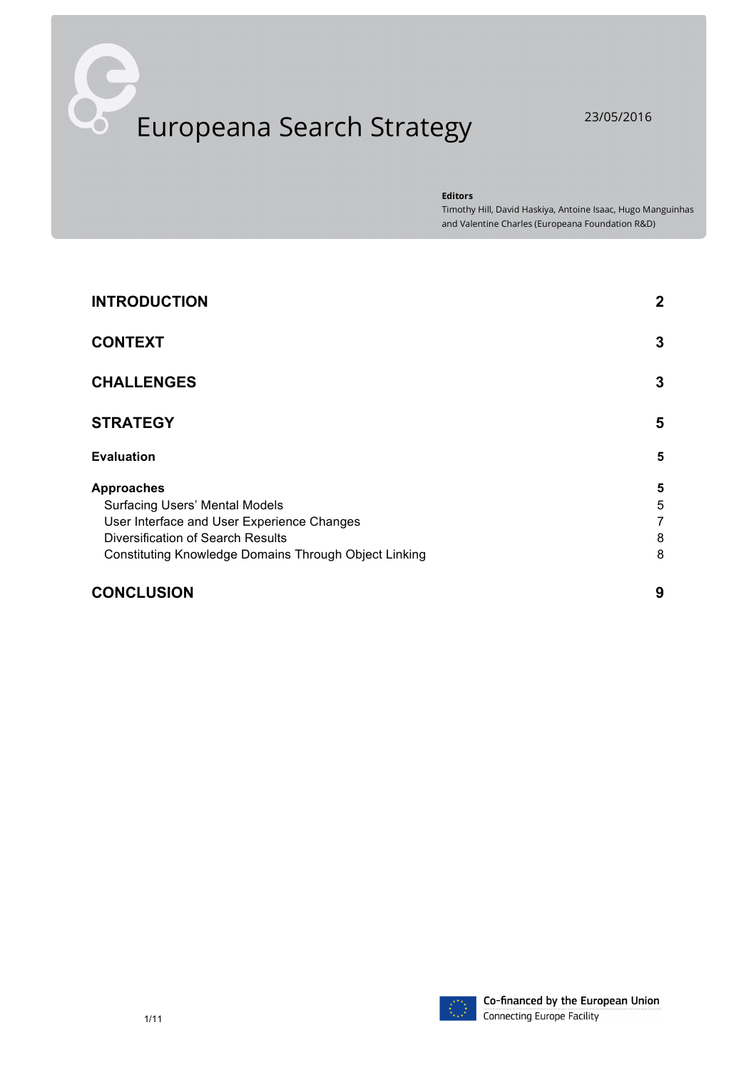# Europeana Search Strategy 23/05/2016

**Editors**

Timothy Hill, David Haskiya, Antoine Isaac, Hugo Manguinhas and Valentine Charles (Europeana Foundation R&D)

| <b>INTRODUCTION</b>                                   | $\mathbf 2$ |
|-------------------------------------------------------|-------------|
| <b>CONTEXT</b>                                        | 3           |
| <b>CHALLENGES</b>                                     | 3           |
| <b>STRATEGY</b>                                       | 5           |
| <b>Evaluation</b>                                     | 5           |
| <b>Approaches</b>                                     | 5           |
| <b>Surfacing Users' Mental Models</b>                 | 5           |
| User Interface and User Experience Changes            | 7           |
| Diversification of Search Results                     | 8           |
| Constituting Knowledge Domains Through Object Linking | 8           |
| <b>CONCLUSION</b>                                     | 9           |

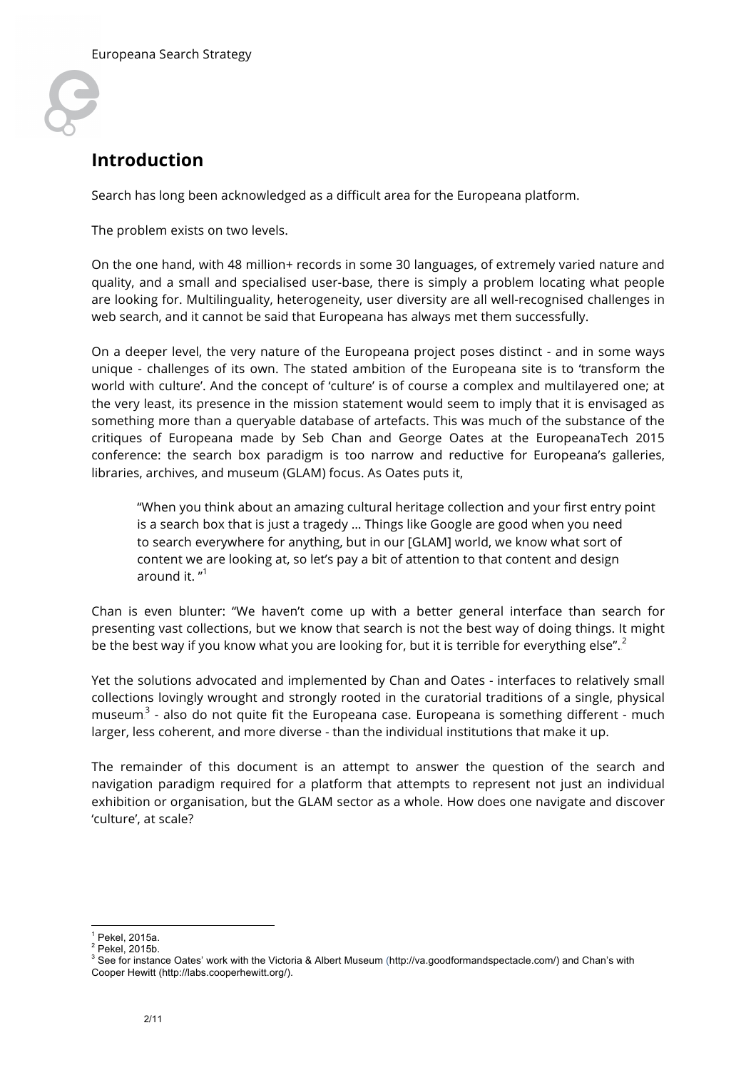

# **Introduction**

Search has long been acknowledged as a difficult area for the Europeana platform.

The problem exists on two levels.

On the one hand, with 48 million+ records in some 30 languages, of extremely varied nature and quality, and a small and specialised user-base, there is simply a problem locating what people are looking for. Multilinguality, heterogeneity, user diversity are all well-recognised challenges in web search, and it cannot be said that Europeana has always met them successfully.

On a deeper level, the very nature of the Europeana project poses distinct - and in some ways unique - challenges of its own. The stated ambition of the Europeana site is to 'transform the world with culture'. And the concept of 'culture' is of course a complex and multilayered one; at the very least, its presence in the mission statement would seem to imply that it is envisaged as something more than a queryable database of artefacts. This was much of the substance of the critiques of Europeana made by Seb Chan and George Oates at the EuropeanaTech 2015 conference: the search box paradigm is too narrow and reductive for Europeana's galleries, libraries, archives, and museum (GLAM) focus. As Oates puts it,

"When you think about an amazing cultural heritage collection and your first entry point is a search box that is just a tragedy … Things like Google are good when you need to search everywhere for anything, but in our [GLAM] world, we know what sort of content we are looking at, so let's pay a bit of attention to that content and design around it. "<sup>1</sup>

Chan is even blunter: "We haven't come up with a better general interface than search for presenting vast collections, but we know that search is not the best way of doing things. It might be the best way if you know what you are looking for, but it is terrible for everything else". $^2$ 

Yet the solutions advocated and implemented by Chan and Oates - interfaces to relatively small collections lovingly wrought and strongly rooted in the curatorial traditions of a single, physical museum $^3$  - also do not quite fit the Europeana case. Europeana is something different - much larger, less coherent, and more diverse - than the individual institutions that make it up.

The remainder of this document is an attempt to answer the question of the search and navigation paradigm required for a platform that attempts to represent not just an individual exhibition or organisation, but the GLAM sector as a whole. How does one navigate and discover 'culture', at scale?

 $<sup>1</sup>$  Pekel, 2015a.</sup>

 $2$  Pekel, 2015b.

<sup>&</sup>lt;sup>3</sup> See for instance Oates' work with the Victoria & Albert Museum (http://va.goodformandspectacle.com/) and Chan's with Cooper Hewitt (http://labs.cooperhewitt.org/).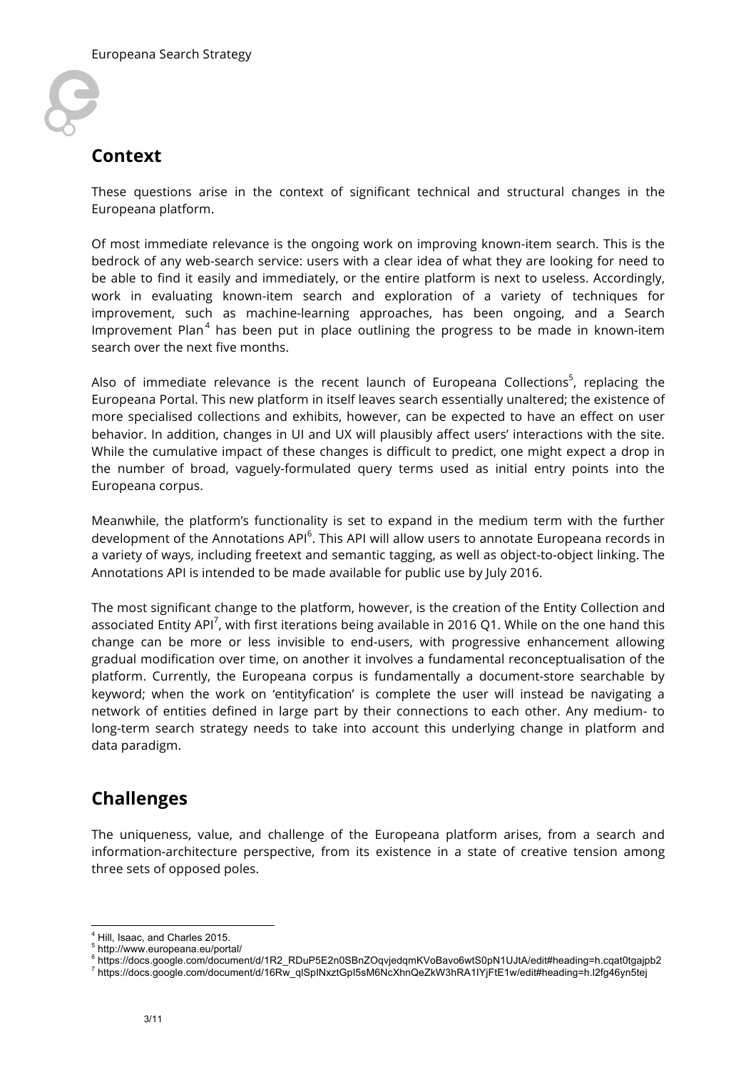

## **Context**

These questions arise in the context of significant technical and structural changes in the Europeana platform.

Of most immediate relevance is the ongoing work on improving known-item search. This is the bedrock of any web-search service: users with a clear idea of what they are looking for need to be able to find it easily and immediately, or the entire platform is next to useless. Accordingly, work in evaluating known-item search and exploration of a variety of techniques for improvement, such as machine-learning approaches, has been ongoing, and a Search Improvement Plan. $^4$  has been put in place outlining the progress to be made in known-item search over the next five months.

Also of immediate relevance is the recent launch of Europeana Collections<sup>5</sup>, replacing the Europeana Portal. This new platform in itself leaves search essentially unaltered; the existence of more specialised collections and exhibits, however, can be expected to have an effect on user behavior. In addition, changes in UI and UX will plausibly affect users' interactions with the site. While the cumulative impact of these changes is difficult to predict, one might expect a drop in the number of broad, vaguely-formulated query terms used as initial entry points into the Europeana corpus.

Meanwhile, the platform's functionality is set to expand in the medium term with the further development of the Annotations API<sup>6</sup>. This API will allow users to annotate Europeana records in a variety of ways, including freetext and semantic tagging, as well as object-to-object linking. The Annotations API is intended to be made available for public use by July 2016.

The most significant change to the platform, however, is the creation of the Entity Collection and associated Entity API<sup>7</sup>, with first iterations being available in 2016 Q1. While on the one hand this change can be more or less invisible to end-users, with progressive enhancement allowing gradual modification over time, on another it involves a fundamental reconceptualisation of the platform. Currently, the Europeana corpus is fundamentally a document-store searchable by keyword; when the work on 'entityfication' is complete the user will instead be navigating a network of entities defined in large part by their connections to each other. Any medium- to long-term search strategy needs to take into account this underlying change in platform and data paradigm.

# **Challenges**

The uniqueness, value, and challenge of the Europeana platform arises, from a search and information-architecture perspective, from its existence in a state of creative tension among three sets of opposed poles.

 <sup>4</sup> Hill, Isaac, and Charles 2015.

<sup>5</sup> http://www.europeana.eu/portal/

<sup>&</sup>lt;sup>6</sup> https://docs.google.com/document/d/1R2\_RDuP5E2n0SBnZOqvjedqmKVoBavo6wtS0pN1UJtA/edit#heading=h.cqat0tgajpb2<br><sup>7</sup> https://docs.google.com/document/d/16Rw\_qlSpINxztGpI5sM6NcXhnQeZkW3hRA1IYjFtE1w/edit#heading=h.l2fg46yn5te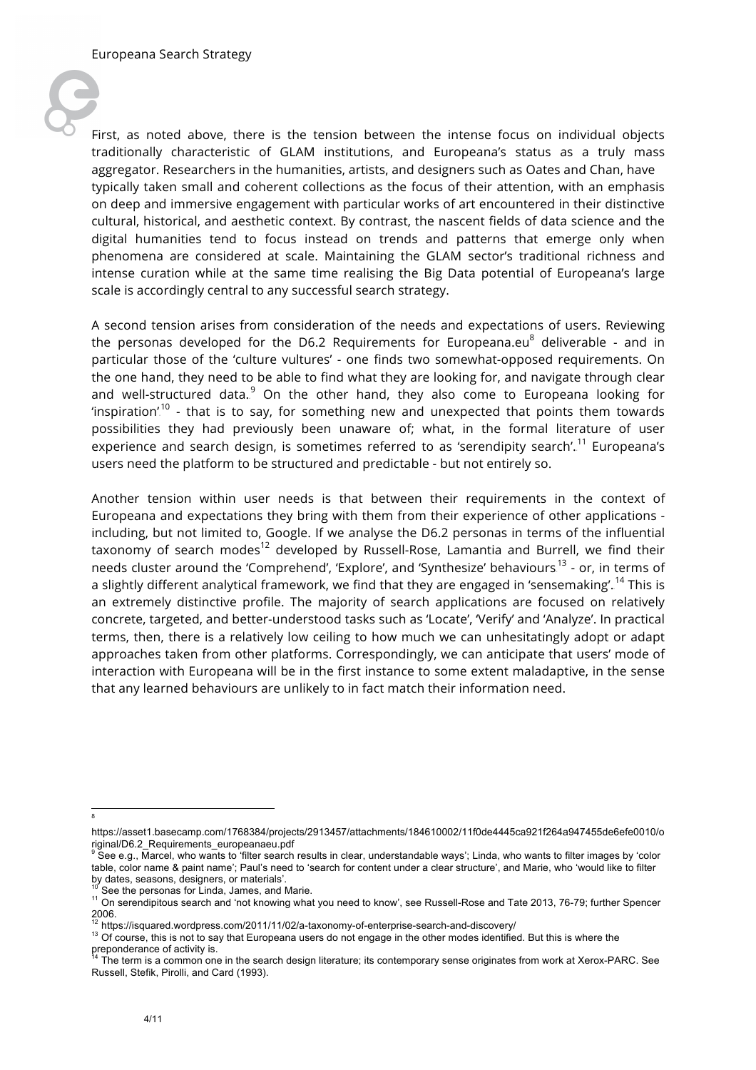

First, as noted above, there is the tension between the intense focus on individual objects traditionally characteristic of GLAM institutions, and Europeana's status as a truly mass aggregator. Researchers in the humanities, artists, and designers such as Oates and Chan, have typically taken small and coherent collections as the focus of their attention, with an emphasis on deep and immersive engagement with particular works of art encountered in their distinctive cultural, historical, and aesthetic context. By contrast, the nascent fields of data science and the digital humanities tend to focus instead on trends and patterns that emerge only when phenomena are considered at scale. Maintaining the GLAM sector's traditional richness and intense curation while at the same time realising the Big Data potential of Europeana's large scale is accordingly central to any successful search strategy.

A second tension arises from consideration of the needs and expectations of users. Reviewing the personas developed for the D6.2 Requirements for Europeana.eu $^8$  deliverable - and in particular those of the 'culture vultures' - one finds two somewhat-opposed requirements. On the one hand, they need to be able to find what they are looking for, and navigate through clear and well-structured data.<sup>9</sup> On the other hand, they also come to Europeana looking for 'inspiration'.<sup>10</sup> - that is to say, for something new and unexpected that points them towards possibilities they had previously been unaware of; what, in the formal literature of user experience and search design, is sometimes referred to as 'serendipity search'. $^\mathrm{11}$  Europeana's users need the platform to be structured and predictable - but not entirely so.

Another tension within user needs is that between their requirements in the context of Europeana and expectations they bring with them from their experience of other applications including, but not limited to, Google. If we analyse the D6.2 personas in terms of the influential taxonomy of search modes<sup>12</sup> developed by Russell-Rose, Lamantia and Burrell, we find their needs cluster around the 'Comprehend', 'Explore', and 'Synthesize' behaviours.<sup>13</sup> - or, in terms of a slightly different analytical framework, we find that they are engaged in 'sensemaking'. <sup>14</sup> This is an extremely distinctive profile. The majority of search applications are focused on relatively concrete, targeted, and better-understood tasks such as 'Locate', 'Verify' and 'Analyze'. In practical terms, then, there is a relatively low ceiling to how much we can unhesitatingly adopt or adapt approaches taken from other platforms. Correspondingly, we can anticipate that users' mode of interaction with Europeana will be in the first instance to some extent maladaptive, in the sense that any learned behaviours are unlikely to in fact match their information need.

<sup>-&</sup>lt;br>8

https://asset1.basecamp.com/1768384/projects/2913457/attachments/184610002/11f0de4445ca921f264a947455de6efe0010/o riginal/D6.2\_Requirements\_europeanaeu.pdf

See e.g., Marcel, who wants to 'filter search results in clear, understandable ways'; Linda, who wants to filter images by 'color table, color name & paint name'; Paul's need to 'search for content under a clear structure', and Marie, who 'would like to filter by dates, seasons, designers, or materials'.

 $\frac{10}{10}$  See the personas for Linda, James, and Marie.<br><sup>11</sup> On serendipitous search and 'not knowing what you need to know', see Russell-Rose and Tate 2013, 76-79; further Spencer 2006.<br><sup>12</sup> https://isquared.wordpress.com/2011/11/02/a-taxonomy-of-enterprise-search-and-discovery/

<sup>&</sup>lt;sup>13</sup> Of course, this is not to say that Europeana users do not engage in the other modes identified. But this is where the

preponderance of activity is.<br><sup>14</sup> The term is a common one in the search design literature; its contemporary sense originates from work at Xerox-PARC. See Russell, Stefik, Pirolli, and Card (1993).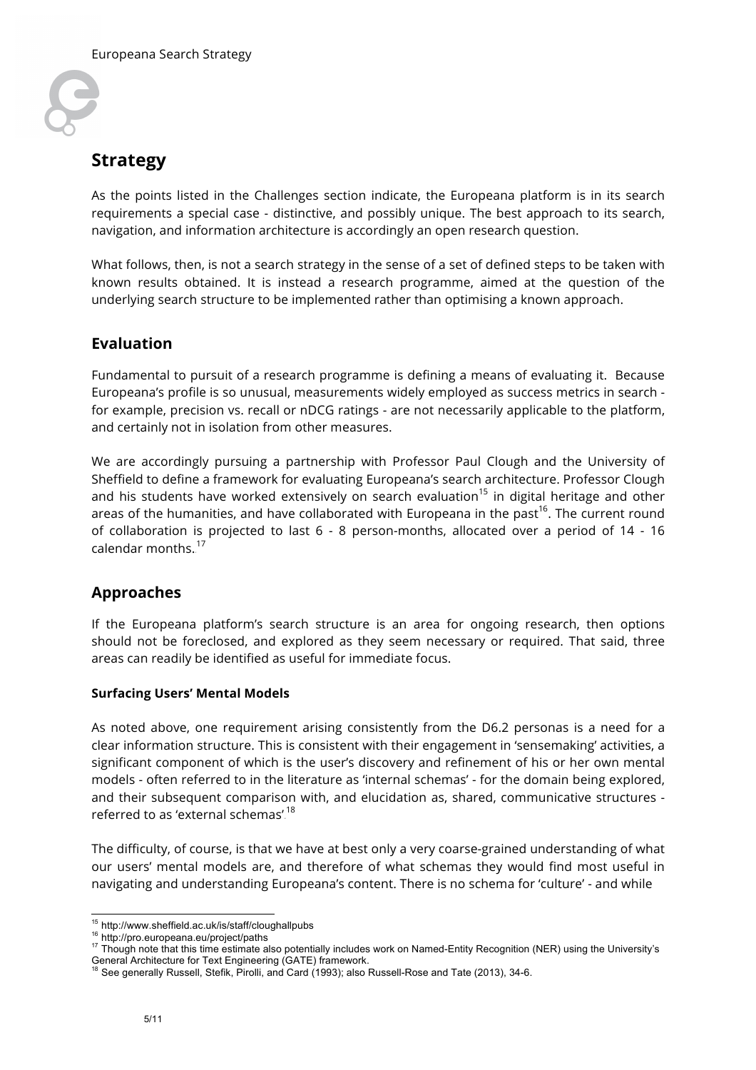

# **Strategy**

As the points listed in the Challenges section indicate, the Europeana platform is in its search requirements a special case - distinctive, and possibly unique. The best approach to its search, navigation, and information architecture is accordingly an open research question.

What follows, then, is not a search strategy in the sense of a set of defined steps to be taken with known results obtained. It is instead a research programme, aimed at the question of the underlying search structure to be implemented rather than optimising a known approach.

### **Evaluation**

Fundamental to pursuit of a research programme is defining a means of evaluating it. Because Europeana's profile is so unusual, measurements widely employed as success metrics in search for example, precision vs. recall or nDCG ratings - are not necessarily applicable to the platform, and certainly not in isolation from other measures.

We are accordingly pursuing a partnership with Professor Paul Clough and the University of Sheffield to define a framework for evaluating Europeana's search architecture. Professor Clough and his students have worked extensively on search evaluation<sup>15</sup> in digital heritage and other areas of the humanities, and have collaborated with Europeana in the past<sup>16</sup>. The current round of collaboration is projected to last 6 - 8 person-months, allocated over a period of 14 - 16 calendar months.  $^\mathrm{17}$ 

## **Approaches**

If the Europeana platform's search structure is an area for ongoing research, then options should not be foreclosed, and explored as they seem necessary or required. That said, three areas can readily be identified as useful for immediate focus.

#### **Surfacing Users' Mental Models**

As noted above, one requirement arising consistently from the D6.2 personas is a need for a clear information structure. This is consistent with their engagement in 'sensemaking' activities, a significant component of which is the user's discovery and refinement of his or her own mental models - often referred to in the literature as 'internal schemas' - for the domain being explored, and their subsequent comparison with, and elucidation as, shared, communicative structures referred to as 'external schemas'.<sup>18</sup>

The difficulty, of course, is that we have at best only a very coarse-grained understanding of what our users' mental models are, and therefore of what schemas they would find most useful in navigating and understanding Europeana's content. There is no schema for 'culture' - and while

<sup>&</sup>lt;sup>15</sup> http://www.sheffield.ac.uk/is/staff/cloughallpubs<br><sup>16</sup> http://pro.europeana.eu/project/paths<br><sup>17</sup> Though note that this time estimate also potentially includes work on Named-Entity Recognition (NER) using the Universi General Architecture for Text Engineering (GATE) framework.

<sup>18</sup> See generally Russell, Stefik, Pirolli, and Card (1993); also Russell-Rose and Tate (2013), 34-6.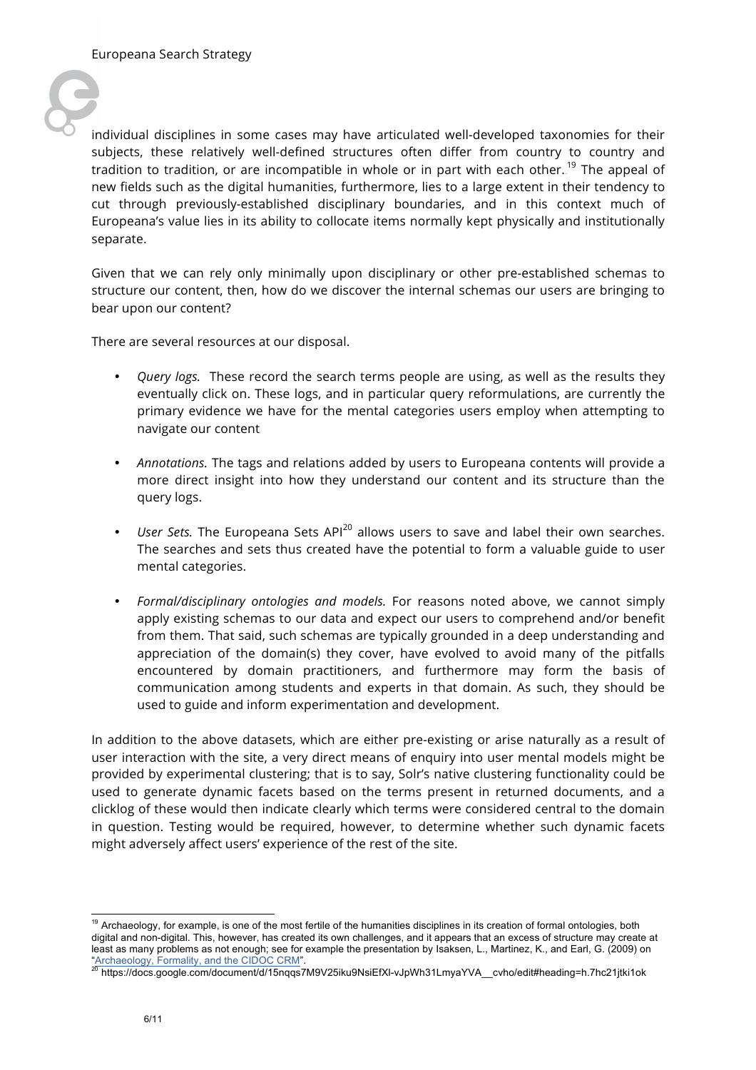

individual disciplines in some cases may have articulated well-developed taxonomies for their subjects, these relatively well-defined structures often differ from country to country and tradition to tradition, or are incompatible in whole or in part with each other..<sup>19</sup> The appeal of new fields such as the digital humanities, furthermore, lies to a large extent in their tendency to cut through previously-established disciplinary boundaries, and in this context much of Europeana's value lies in its ability to collocate items normally kept physically and institutionally separate.

Given that we can rely only minimally upon disciplinary or other pre-established schemas to structure our content, then, how do we discover the internal schemas our users are bringing to bear upon our content?

There are several resources at our disposal.

- *Query logs.* These record the search terms people are using, as well as the results they eventually click on. These logs, and in particular query reformulations, are currently the primary evidence we have for the mental categories users employ when attempting to navigate our content
- *Annotations.* The tags and relations added by users to Europeana contents will provide a more direct insight into how they understand our content and its structure than the query logs.
- User Sets. The Europeana Sets API<sup>20</sup> allows users to save and label their own searches. The searches and sets thus created have the potential to form a valuable guide to user mental categories.
- *Formal/disciplinary ontologies and models.* For reasons noted above, we cannot simply apply existing schemas to our data and expect our users to comprehend and/or benefit from them. That said, such schemas are typically grounded in a deep understanding and appreciation of the domain(s) they cover, have evolved to avoid many of the pitfalls encountered by domain practitioners, and furthermore may form the basis of communication among students and experts in that domain. As such, they should be used to guide and inform experimentation and development.

In addition to the above datasets, which are either pre-existing or arise naturally as a result of user interaction with the site, a very direct means of enquiry into user mental models might be provided by experimental clustering; that is to say, Solr's native clustering functionality could be used to generate dynamic facets based on the terms present in returned documents, and a clicklog of these would then indicate clearly which terms were considered central to the domain in question. Testing would be required, however, to determine whether such dynamic facets might adversely affect users' experience of the rest of the site.

<sup>&</sup>lt;sup>19</sup> Archaeology, for example, is one of the most fertile of the humanities disciplines in its creation of formal ontologies, both digital and non-digital. This, however, has created its own challenges, and it appears that an excess of structure may create at least as many problems as not enough; see for example the presentation by Isaksen, L., Martinez, K., and Earl, G. (2009) on "Archaeology, Formality, and the CIDOC CRM".<br><sup>20</sup> https://docs.google.com/document/d/15nqqs7M9V25iku9NsiEfXl-vJpWh31LmyaYVA\_\_cvho/edit#heading=h.7hc21jtki1ok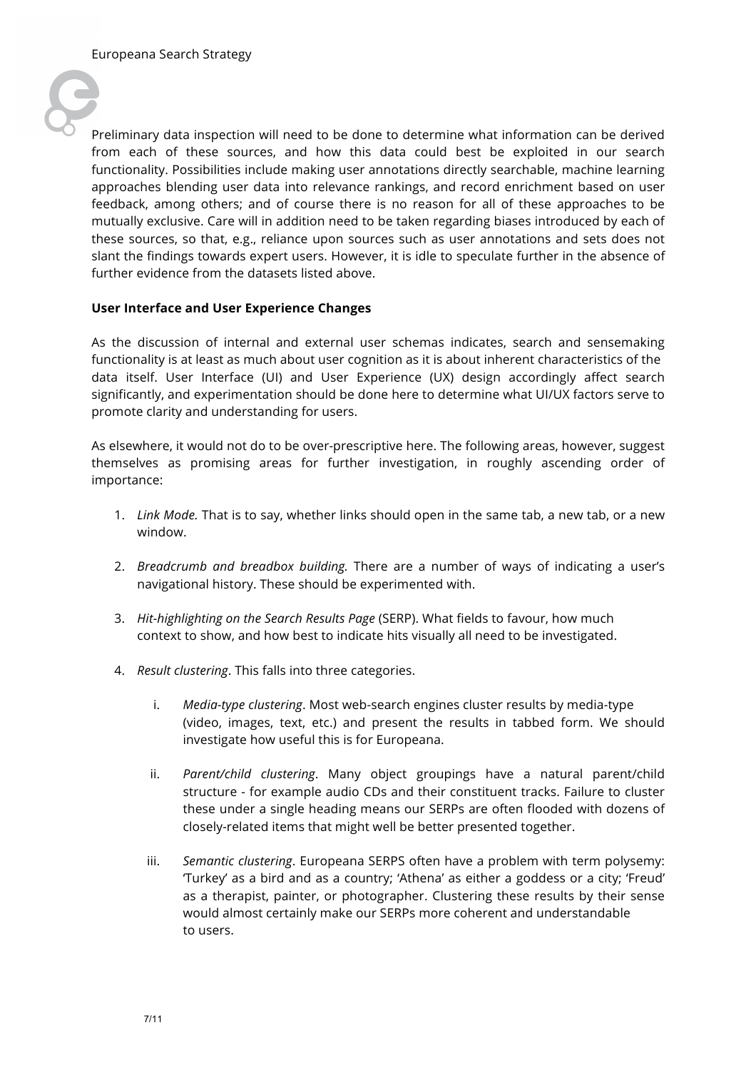

Preliminary data inspection will need to be done to determine what information can be derived from each of these sources, and how this data could best be exploited in our search functionality. Possibilities include making user annotations directly searchable, machine learning approaches blending user data into relevance rankings, and record enrichment based on user feedback, among others; and of course there is no reason for all of these approaches to be mutually exclusive. Care will in addition need to be taken regarding biases introduced by each of these sources, so that, e.g., reliance upon sources such as user annotations and sets does not slant the findings towards expert users. However, it is idle to speculate further in the absence of further evidence from the datasets listed above.

#### **User Interface and User Experience Changes**

As the discussion of internal and external user schemas indicates, search and sensemaking functionality is at least as much about user cognition as it is about inherent characteristics of the data itself. User Interface (UI) and User Experience (UX) design accordingly affect search significantly, and experimentation should be done here to determine what UI/UX factors serve to promote clarity and understanding for users.

As elsewhere, it would not do to be over-prescriptive here. The following areas, however, suggest themselves as promising areas for further investigation, in roughly ascending order of importance:

- 1. *Link Mode.* That is to say, whether links should open in the same tab, a new tab, or a new window.
- 2. *Breadcrumb and breadbox building.* There are a number of ways of indicating a user's navigational history. These should be experimented with.
- 3. *Hit-highlighting on the Search Results Page* (SERP). What fields to favour, how much context to show, and how best to indicate hits visually all need to be investigated.
- 4. *Result clustering*. This falls into three categories.
	- i. *Media-type clustering*. Most web-search engines cluster results by media-type (video, images, text, etc.) and present the results in tabbed form. We should investigate how useful this is for Europeana.
	- ii. *Parent/child clustering*. Many object groupings have a natural parent/child structure - for example audio CDs and their constituent tracks. Failure to cluster these under a single heading means our SERPs are often flooded with dozens of closely-related items that might well be better presented together.
	- iii. *Semantic clustering*. Europeana SERPS often have a problem with term polysemy: 'Turkey' as a bird and as a country; 'Athena' as either a goddess or a city; 'Freud' as a therapist, painter, or photographer. Clustering these results by their sense would almost certainly make our SERPs more coherent and understandable to users.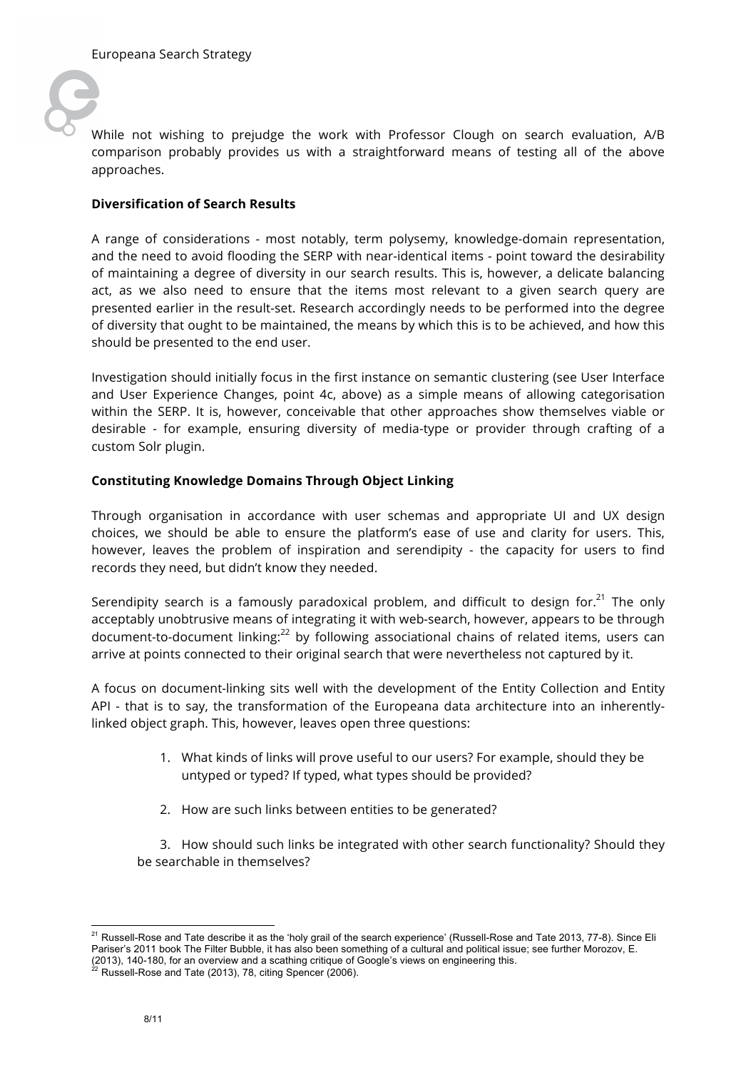

While not wishing to prejudge the work with Professor Clough on search evaluation, A/B comparison probably provides us with a straightforward means of testing all of the above approaches.

#### **Diversification of Search Results**

A range of considerations - most notably, term polysemy, knowledge-domain representation, and the need to avoid flooding the SERP with near-identical items - point toward the desirability of maintaining a degree of diversity in our search results. This is, however, a delicate balancing act, as we also need to ensure that the items most relevant to a given search query are presented earlier in the result-set. Research accordingly needs to be performed into the degree of diversity that ought to be maintained, the means by which this is to be achieved, and how this should be presented to the end user.

Investigation should initially focus in the first instance on semantic clustering (see User Interface and User Experience Changes, point 4c, above) as a simple means of allowing categorisation within the SERP. It is, however, conceivable that other approaches show themselves viable or desirable - for example, ensuring diversity of media-type or provider through crafting of a custom Solr plugin.

#### **Constituting Knowledge Domains Through Object Linking**

Through organisation in accordance with user schemas and appropriate UI and UX design choices, we should be able to ensure the platform's ease of use and clarity for users. This, however, leaves the problem of inspiration and serendipity - the capacity for users to find records they need, but didn't know they needed.

Serendipity search is a famously paradoxical problem, and difficult to design for.<sup>21</sup> The only acceptably unobtrusive means of integrating it with web-search, however, appears to be through document-to-document linking:<sup>22</sup> by following associational chains of related items, users can arrive at points connected to their original search that were nevertheless not captured by it.

A focus on document-linking sits well with the development of the Entity Collection and Entity API - that is to say, the transformation of the Europeana data architecture into an inherentlylinked object graph. This, however, leaves open three questions:

- 1. What kinds of links will prove useful to our users? For example, should they be untyped or typed? If typed, what types should be provided?
- 2. How are such links between entities to be generated?

3. How should such links be integrated with other search functionality? Should they be searchable in themselves?

 <sup>21</sup> Russell-Rose and Tate describe it as the 'holy grail of the search experience' (Russell-Rose and Tate 2013, 77-8). Since Eli Pariser's 2011 book The Filter Bubble, it has also been something of a cultural and political issue; see further Morozov, E. (2013), 140-180, for an overview and a scathing critique of Google's views on engineering this. <sup>22</sup> Russell-Rose and Tate (2013), 78, citing Spencer (2006).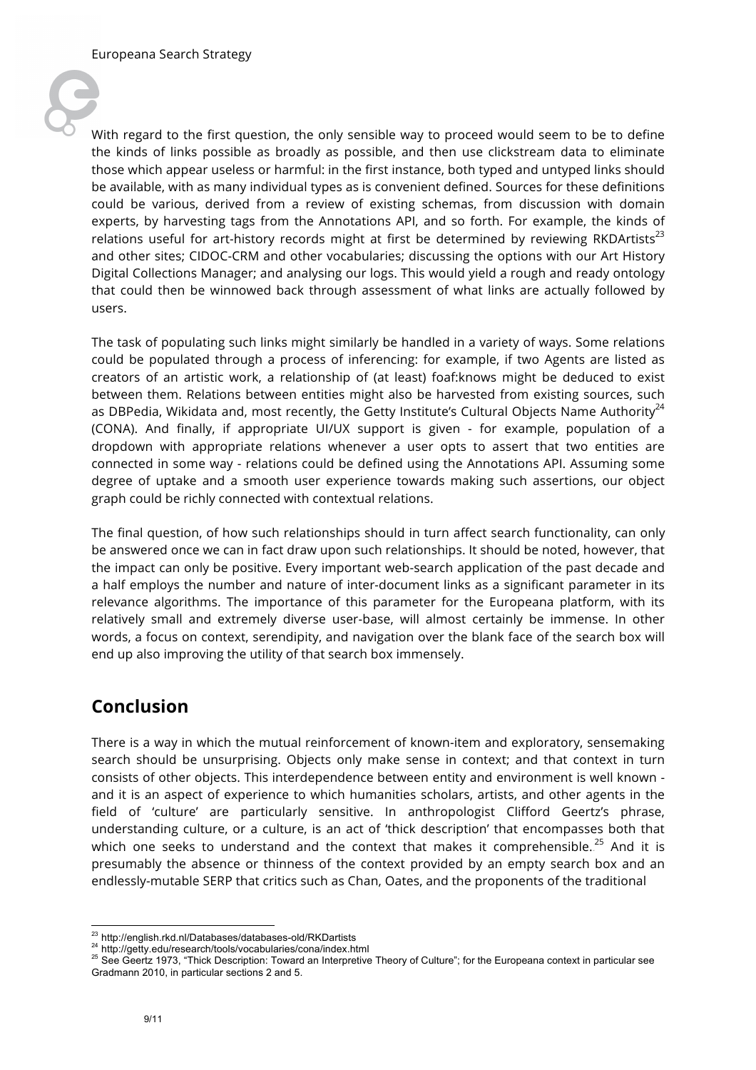

With regard to the first question, the only sensible way to proceed would seem to be to define the kinds of links possible as broadly as possible, and then use clickstream data to eliminate those which appear useless or harmful: in the first instance, both typed and untyped links should be available, with as many individual types as is convenient defined. Sources for these definitions could be various, derived from a review of existing schemas, from discussion with domain experts, by harvesting tags from the Annotations API, and so forth. For example, the kinds of relations useful for art-history records might at first be determined by reviewing RKDArtists<sup>23</sup> and other sites; CIDOC-CRM and other vocabularies; discussing the options with our Art History Digital Collections Manager; and analysing our logs. This would yield a rough and ready ontology that could then be winnowed back through assessment of what links are actually followed by users.

The task of populating such links might similarly be handled in a variety of ways. Some relations could be populated through a process of inferencing: for example, if two Agents are listed as creators of an artistic work, a relationship of (at least) foaf:knows might be deduced to exist between them. Relations between entities might also be harvested from existing sources, such as DBPedia, Wikidata and, most recently, the Getty Institute's Cultural Objects Name Authority $^{24}$ (CONA). And finally, if appropriate UI/UX support is given - for example, population of a dropdown with appropriate relations whenever a user opts to assert that two entities are connected in some way - relations could be defined using the Annotations API. Assuming some degree of uptake and a smooth user experience towards making such assertions, our object graph could be richly connected with contextual relations.

The final question, of how such relationships should in turn affect search functionality, can only be answered once we can in fact draw upon such relationships. It should be noted, however, that the impact can only be positive. Every important web-search application of the past decade and a half employs the number and nature of inter-document links as a significant parameter in its relevance algorithms. The importance of this parameter for the Europeana platform, with its relatively small and extremely diverse user-base, will almost certainly be immense. In other words, a focus on context, serendipity, and navigation over the blank face of the search box will end up also improving the utility of that search box immensely.

# **Conclusion**

There is a way in which the mutual reinforcement of known-item and exploratory, sensemaking search should be unsurprising. Objects only make sense in context; and that context in turn consists of other objects. This interdependence between entity and environment is well known and it is an aspect of experience to which humanities scholars, artists, and other agents in the field of 'culture' are particularly sensitive. In anthropologist Clifford Geertz's phrase, understanding culture, or a culture, is an act of 'thick description' that encompasses both that which one seeks to understand and the context that makes it comprehensible.. $^{25}$  And it is presumably the absence or thinness of the context provided by an empty search box and an endlessly-mutable SERP that critics such as Chan, Oates, and the proponents of the traditional

<sup>&</sup>lt;sup>23</sup> http://english.rkd.nl/Databases/databases-old/RKDartists<br><sup>24</sup> http://getty.edu/research/tools/vocabularies/cona/index.html<br><sup>25</sup> See Geertz 1973, "Thick Description: Toward an Interpretive Theory of Culture"; for the Gradmann 2010, in particular sections 2 and 5.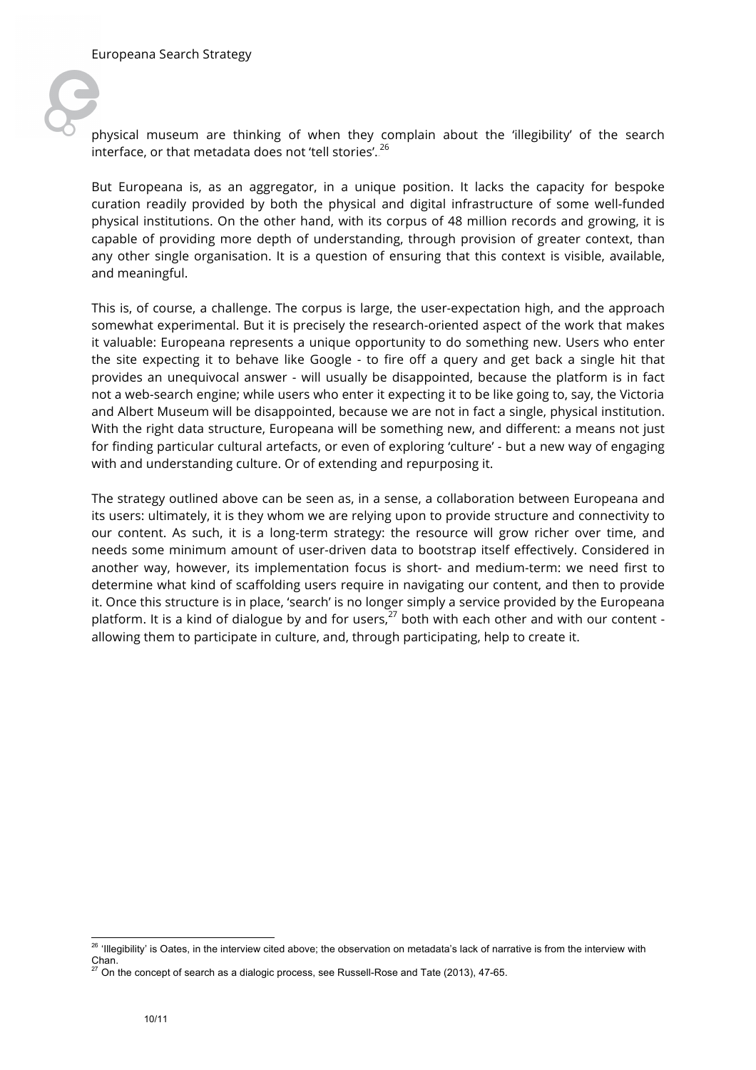

physical museum are thinking of when they complain about the 'illegibility' of the search interface, or that metadata does not 'tell stories'.  $^{26}$ 

But Europeana is, as an aggregator, in a unique position. It lacks the capacity for bespoke curation readily provided by both the physical and digital infrastructure of some well-funded physical institutions. On the other hand, with its corpus of 48 million records and growing, it is capable of providing more depth of understanding, through provision of greater context, than any other single organisation. It is a question of ensuring that this context is visible, available, and meaningful.

This is, of course, a challenge. The corpus is large, the user-expectation high, and the approach somewhat experimental. But it is precisely the research-oriented aspect of the work that makes it valuable: Europeana represents a unique opportunity to do something new. Users who enter the site expecting it to behave like Google - to fire off a query and get back a single hit that provides an unequivocal answer - will usually be disappointed, because the platform is in fact not a web-search engine; while users who enter it expecting it to be like going to, say, the Victoria and Albert Museum will be disappointed, because we are not in fact a single, physical institution. With the right data structure, Europeana will be something new, and different: a means not just for finding particular cultural artefacts, or even of exploring 'culture' - but a new way of engaging with and understanding culture. Or of extending and repurposing it.

The strategy outlined above can be seen as, in a sense, a collaboration between Europeana and its users: ultimately, it is they whom we are relying upon to provide structure and connectivity to our content. As such, it is a long-term strategy: the resource will grow richer over time, and needs some minimum amount of user-driven data to bootstrap itself effectively. Considered in another way, however, its implementation focus is short- and medium-term: we need first to determine what kind of scaffolding users require in navigating our content, and then to provide it. Once this structure is in place, 'search' is no longer simply a service provided by the Europeana platform. It is a kind of dialogue by and for users,  $27$  both with each other and with our content allowing them to participate in culture, and, through participating, help to create it.

<sup>&</sup>lt;sup>26</sup> 'Illegibility' is Oates, in the interview cited above; the observation on metadata's lack of narrative is from the interview with Chan.

<sup>27</sup> On the concept of search as a dialogic process, see Russell-Rose and Tate (2013), 47-65.